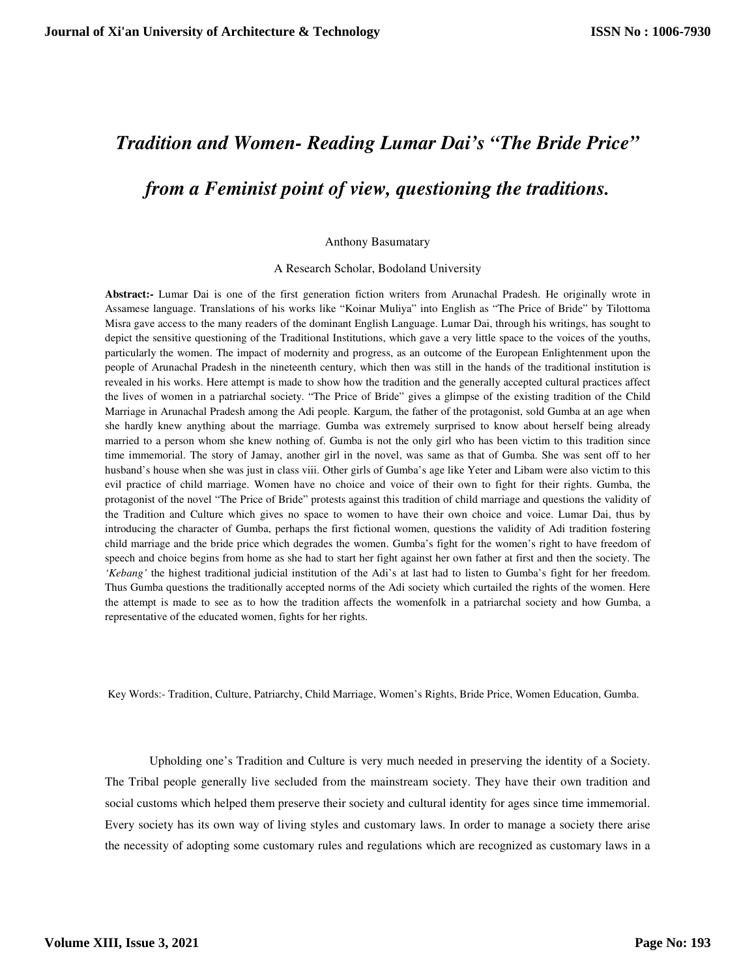## *Tradition and Women- Reading Lumar Dai's "The Bride Price" from a Feminist point of view, questioning the traditions.*

## Anthony Basumatary

A Research Scholar, Bodoland University

**Abstract:-** Lumar Dai is one of the first generation fiction writers from Arunachal Pradesh. He originally wrote in Assamese language. Translations of his works like "Koinar Muliya" into English as "The Price of Bride" by Tilottoma Misra gave access to the many readers of the dominant English Language. Lumar Dai, through his writings, has sought to depict the sensitive questioning of the Traditional Institutions, which gave a very little space to the voices of the youths, particularly the women. The impact of modernity and progress, as an outcome of the European Enlightenment upon the people of Arunachal Pradesh in the nineteenth century, which then was still in the hands of the traditional institution is revealed in his works. Here attempt is made to show how the tradition and the generally accepted cultural practices affect the lives of women in a patriarchal society. "The Price of Bride" gives a glimpse of the existing tradition of the Child Marriage in Arunachal Pradesh among the Adi people. Kargum, the father of the protagonist, sold Gumba at an age when she hardly knew anything about the marriage. Gumba was extremely surprised to know about herself being already married to a person whom she knew nothing of. Gumba is not the only girl who has been victim to this tradition since time immemorial. The story of Jamay, another girl in the novel, was same as that of Gumba. She was sent off to her husband's house when she was just in class viii. Other girls of Gumba's age like Yeter and Libam were also victim to this evil practice of child marriage. Women have no choice and voice of their own to fight for their rights. Gumba, the protagonist of the novel "The Price of Bride" protests against this tradition of child marriage and questions the validity of the Tradition and Culture which gives no space to women to have their own choice and voice. Lumar Dai, thus by introducing the character of Gumba, perhaps the first fictional women, questions the validity of Adi tradition fostering child marriage and the bride price which degrades the women. Gumba's fight for the women's right to have freedom of speech and choice begins from home as she had to start her fight against her own father at first and then the society. The *'Kebang'* the highest traditional judicial institution of the Adi's at last had to listen to Gumba's fight for her freedom. Thus Gumba questions the traditionally accepted norms of the Adi society which curtailed the rights of the women. Here the attempt is made to see as to how the tradition affects the womenfolk in a patriarchal society and how Gumba, a representative of the educated women, fights for her rights.

Key Words:- Tradition, Culture, Patriarchy, Child Marriage, Women's Rights, Bride Price, Women Education, Gumba.

Upholding one's Tradition and Culture is very much needed in preserving the identity of a Society. The Tribal people generally live secluded from the mainstream society. They have their own tradition and social customs which helped them preserve their society and cultural identity for ages since time immemorial. Every society has its own way of living styles and customary laws. In order to manage a society there arise the necessity of adopting some customary rules and regulations which are recognized as customary laws in a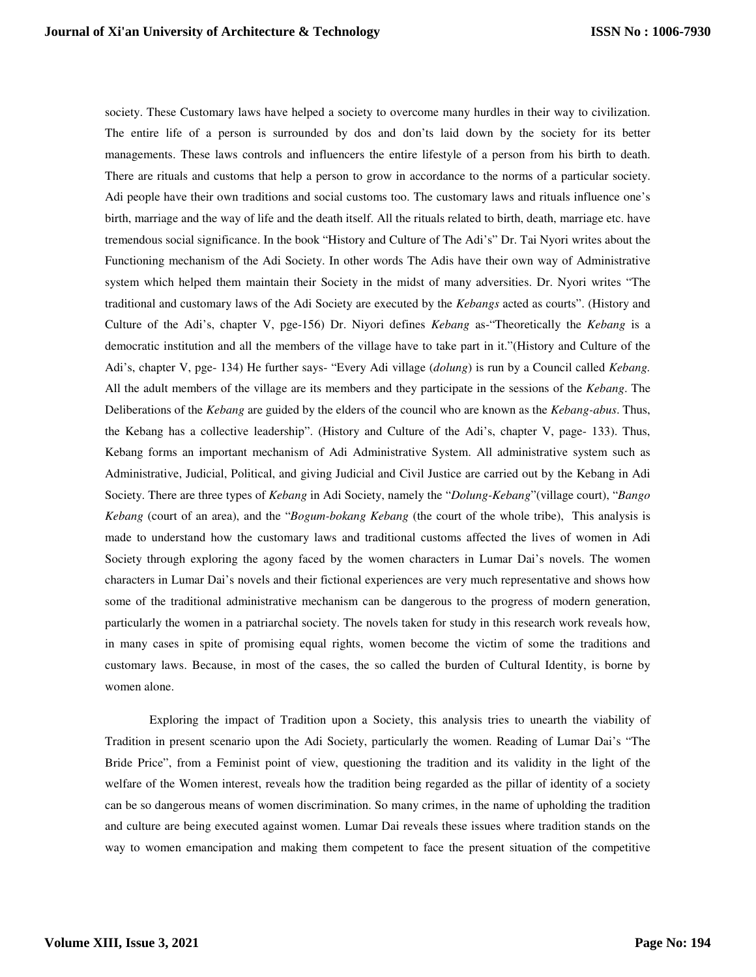society. These Customary laws have helped a society to overcome many hurdles in their way to civilization. The entire life of a person is surrounded by dos and don'ts laid down by the society for its better managements. These laws controls and influencers the entire lifestyle of a person from his birth to death. There are rituals and customs that help a person to grow in accordance to the norms of a particular society. Adi people have their own traditions and social customs too. The customary laws and rituals influence one's birth, marriage and the way of life and the death itself. All the rituals related to birth, death, marriage etc. have tremendous social significance. In the book "History and Culture of The Adi's" Dr. Tai Nyori writes about the Functioning mechanism of the Adi Society. In other words The Adis have their own way of Administrative system which helped them maintain their Society in the midst of many adversities. Dr. Nyori writes "The traditional and customary laws of the Adi Society are executed by the *Kebangs* acted as courts". (History and Culture of the Adi's, chapter V, pge-156) Dr. Niyori defines *Kebang* as-"Theoretically the *Kebang* is a democratic institution and all the members of the village have to take part in it."(History and Culture of the Adi's, chapter V, pge- 134) He further says- "Every Adi village (*dolung*) is run by a Council called *Kebang.* All the adult members of the village are its members and they participate in the sessions of the *Kebang*. The Deliberations of the *Kebang* are guided by the elders of the council who are known as the *Kebang-abus*. Thus, the Kebang has a collective leadership". (History and Culture of the Adi's, chapter V, page- 133). Thus, Kebang forms an important mechanism of Adi Administrative System. All administrative system such as Administrative, Judicial, Political, and giving Judicial and Civil Justice are carried out by the Kebang in Adi Society. There are three types of *Kebang* in Adi Society, namely the "*Dolung-Kebang*"(village court), "*Bango Kebang* (court of an area), and the "*Bogum-bokang Kebang* (the court of the whole tribe), This analysis is made to understand how the customary laws and traditional customs affected the lives of women in Adi Society through exploring the agony faced by the women characters in Lumar Dai's novels. The women characters in Lumar Dai's novels and their fictional experiences are very much representative and shows how some of the traditional administrative mechanism can be dangerous to the progress of modern generation, particularly the women in a patriarchal society. The novels taken for study in this research work reveals how, in many cases in spite of promising equal rights, women become the victim of some the traditions and customary laws. Because, in most of the cases, the so called the burden of Cultural Identity, is borne by women alone.

Exploring the impact of Tradition upon a Society, this analysis tries to unearth the viability of Tradition in present scenario upon the Adi Society, particularly the women. Reading of Lumar Dai's "The Bride Price", from a Feminist point of view, questioning the tradition and its validity in the light of the welfare of the Women interest, reveals how the tradition being regarded as the pillar of identity of a society can be so dangerous means of women discrimination. So many crimes, in the name of upholding the tradition and culture are being executed against women. Lumar Dai reveals these issues where tradition stands on the way to women emancipation and making them competent to face the present situation of the competitive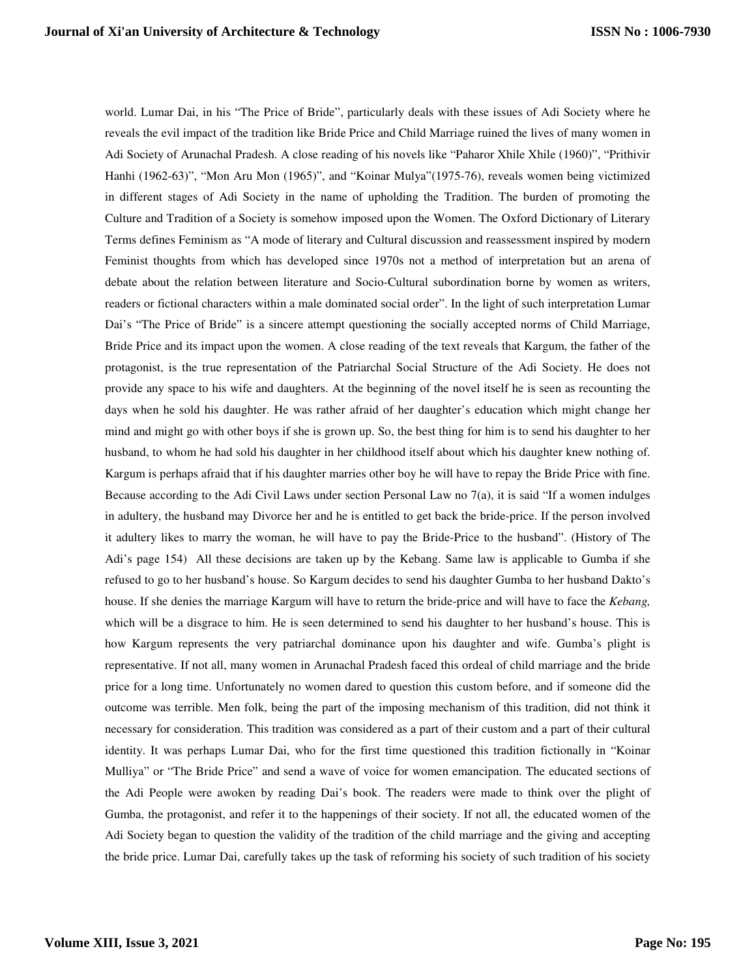world. Lumar Dai, in his "The Price of Bride", particularly deals with these issues of Adi Society where he reveals the evil impact of the tradition like Bride Price and Child Marriage ruined the lives of many women in Adi Society of Arunachal Pradesh. A close reading of his novels like "Paharor Xhile Xhile (1960)", "Prithivir Hanhi (1962-63)", "Mon Aru Mon (1965)", and "Koinar Mulya"(1975-76), reveals women being victimized in different stages of Adi Society in the name of upholding the Tradition. The burden of promoting the Culture and Tradition of a Society is somehow imposed upon the Women. The Oxford Dictionary of Literary Terms defines Feminism as "A mode of literary and Cultural discussion and reassessment inspired by modern Feminist thoughts from which has developed since 1970s not a method of interpretation but an arena of debate about the relation between literature and Socio-Cultural subordination borne by women as writers, readers or fictional characters within a male dominated social order". In the light of such interpretation Lumar Dai's "The Price of Bride" is a sincere attempt questioning the socially accepted norms of Child Marriage, Bride Price and its impact upon the women. A close reading of the text reveals that Kargum, the father of the protagonist, is the true representation of the Patriarchal Social Structure of the Adi Society. He does not provide any space to his wife and daughters. At the beginning of the novel itself he is seen as recounting the days when he sold his daughter. He was rather afraid of her daughter's education which might change her mind and might go with other boys if she is grown up. So, the best thing for him is to send his daughter to her husband, to whom he had sold his daughter in her childhood itself about which his daughter knew nothing of. Kargum is perhaps afraid that if his daughter marries other boy he will have to repay the Bride Price with fine. Because according to the Adi Civil Laws under section Personal Law no  $7(a)$ , it is said "If a women indulges" in adultery, the husband may Divorce her and he is entitled to get back the bride-price. If the person involved it adultery likes to marry the woman, he will have to pay the Bride-Price to the husband". (History of The Adi's page 154) All these decisions are taken up by the Kebang. Same law is applicable to Gumba if she refused to go to her husband's house. So Kargum decides to send his daughter Gumba to her husband Dakto's house. If she denies the marriage Kargum will have to return the bride-price and will have to face the *Kebang,* which will be a disgrace to him. He is seen determined to send his daughter to her husband's house. This is how Kargum represents the very patriarchal dominance upon his daughter and wife. Gumba's plight is representative. If not all, many women in Arunachal Pradesh faced this ordeal of child marriage and the bride price for a long time. Unfortunately no women dared to question this custom before, and if someone did the outcome was terrible. Men folk, being the part of the imposing mechanism of this tradition, did not think it necessary for consideration. This tradition was considered as a part of their custom and a part of their cultural identity. It was perhaps Lumar Dai, who for the first time questioned this tradition fictionally in "Koinar Mulliya" or "The Bride Price" and send a wave of voice for women emancipation. The educated sections of the Adi People were awoken by reading Dai's book. The readers were made to think over the plight of Gumba, the protagonist, and refer it to the happenings of their society. If not all, the educated women of the Adi Society began to question the validity of the tradition of the child marriage and the giving and accepting the bride price. Lumar Dai, carefully takes up the task of reforming his society of such tradition of his society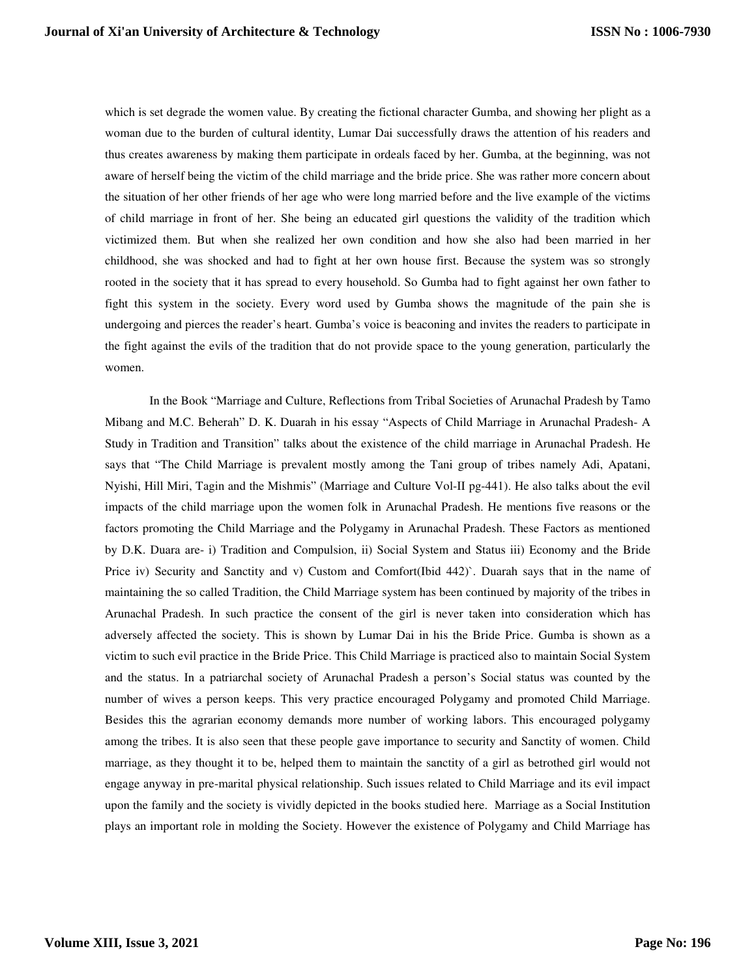which is set degrade the women value. By creating the fictional character Gumba, and showing her plight as a woman due to the burden of cultural identity, Lumar Dai successfully draws the attention of his readers and thus creates awareness by making them participate in ordeals faced by her. Gumba, at the beginning, was not aware of herself being the victim of the child marriage and the bride price. She was rather more concern about the situation of her other friends of her age who were long married before and the live example of the victims of child marriage in front of her. She being an educated girl questions the validity of the tradition which victimized them. But when she realized her own condition and how she also had been married in her childhood, she was shocked and had to fight at her own house first. Because the system was so strongly rooted in the society that it has spread to every household. So Gumba had to fight against her own father to fight this system in the society. Every word used by Gumba shows the magnitude of the pain she is undergoing and pierces the reader's heart. Gumba's voice is beaconing and invites the readers to participate in the fight against the evils of the tradition that do not provide space to the young generation, particularly the women.

In the Book "Marriage and Culture, Reflections from Tribal Societies of Arunachal Pradesh by Tamo Mibang and M.C. Beherah" D. K. Duarah in his essay "Aspects of Child Marriage in Arunachal Pradesh- A Study in Tradition and Transition" talks about the existence of the child marriage in Arunachal Pradesh. He says that "The Child Marriage is prevalent mostly among the Tani group of tribes namely Adi, Apatani, Nyishi, Hill Miri, Tagin and the Mishmis" (Marriage and Culture Vol-II pg-441). He also talks about the evil impacts of the child marriage upon the women folk in Arunachal Pradesh. He mentions five reasons or the factors promoting the Child Marriage and the Polygamy in Arunachal Pradesh. These Factors as mentioned by D.K. Duara are- i) Tradition and Compulsion, ii) Social System and Status iii) Economy and the Bride Price iv) Security and Sanctity and v) Custom and Comfort(Ibid 442)`. Duarah says that in the name of maintaining the so called Tradition, the Child Marriage system has been continued by majority of the tribes in Arunachal Pradesh. In such practice the consent of the girl is never taken into consideration which has adversely affected the society. This is shown by Lumar Dai in his the Bride Price. Gumba is shown as a victim to such evil practice in the Bride Price. This Child Marriage is practiced also to maintain Social System and the status. In a patriarchal society of Arunachal Pradesh a person's Social status was counted by the number of wives a person keeps. This very practice encouraged Polygamy and promoted Child Marriage. Besides this the agrarian economy demands more number of working labors. This encouraged polygamy among the tribes. It is also seen that these people gave importance to security and Sanctity of women. Child marriage, as they thought it to be, helped them to maintain the sanctity of a girl as betrothed girl would not engage anyway in pre-marital physical relationship. Such issues related to Child Marriage and its evil impact upon the family and the society is vividly depicted in the books studied here. Marriage as a Social Institution plays an important role in molding the Society. However the existence of Polygamy and Child Marriage has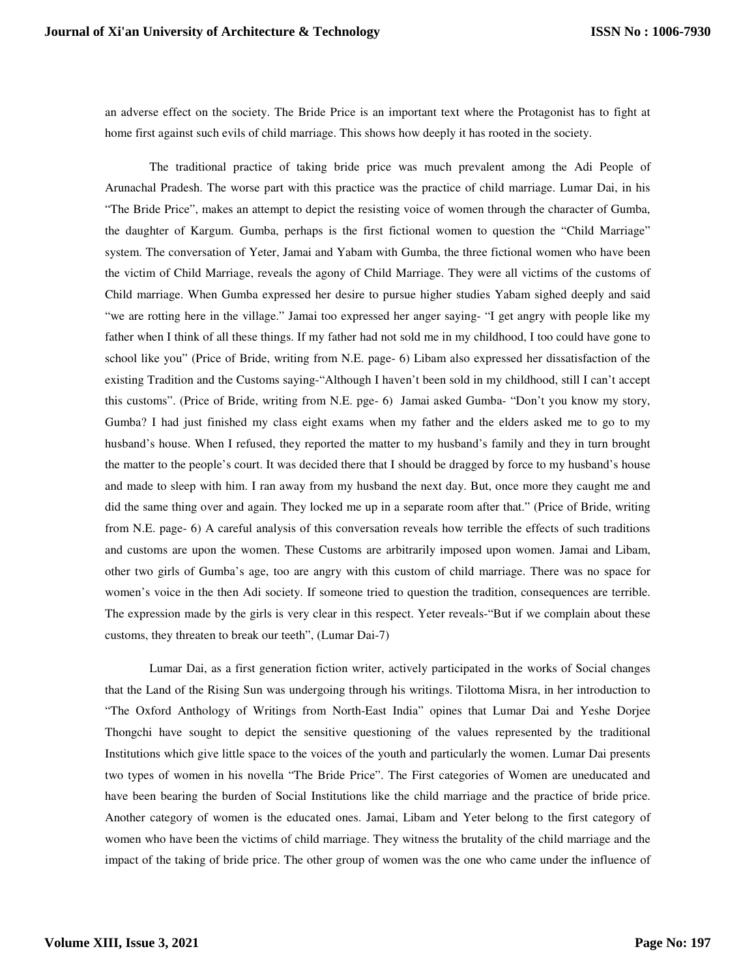an adverse effect on the society. The Bride Price is an important text where the Protagonist has to fight at home first against such evils of child marriage. This shows how deeply it has rooted in the society.

The traditional practice of taking bride price was much prevalent among the Adi People of Arunachal Pradesh. The worse part with this practice was the practice of child marriage. Lumar Dai, in his "The Bride Price", makes an attempt to depict the resisting voice of women through the character of Gumba, the daughter of Kargum. Gumba, perhaps is the first fictional women to question the "Child Marriage" system. The conversation of Yeter, Jamai and Yabam with Gumba, the three fictional women who have been the victim of Child Marriage, reveals the agony of Child Marriage. They were all victims of the customs of Child marriage. When Gumba expressed her desire to pursue higher studies Yabam sighed deeply and said "we are rotting here in the village." Jamai too expressed her anger saying- "I get angry with people like my father when I think of all these things. If my father had not sold me in my childhood, I too could have gone to school like you" (Price of Bride, writing from N.E. page- 6) Libam also expressed her dissatisfaction of the existing Tradition and the Customs saying-"Although I haven't been sold in my childhood, still I can't accept this customs". (Price of Bride, writing from N.E. pge- 6) Jamai asked Gumba- "Don't you know my story, Gumba? I had just finished my class eight exams when my father and the elders asked me to go to my husband's house. When I refused, they reported the matter to my husband's family and they in turn brought the matter to the people's court. It was decided there that I should be dragged by force to my husband's house and made to sleep with him. I ran away from my husband the next day. But, once more they caught me and did the same thing over and again. They locked me up in a separate room after that." (Price of Bride, writing from N.E. page- 6) A careful analysis of this conversation reveals how terrible the effects of such traditions and customs are upon the women. These Customs are arbitrarily imposed upon women. Jamai and Libam, other two girls of Gumba's age, too are angry with this custom of child marriage. There was no space for women's voice in the then Adi society. If someone tried to question the tradition, consequences are terrible. The expression made by the girls is very clear in this respect. Yeter reveals-"But if we complain about these customs, they threaten to break our teeth", (Lumar Dai-7)

Lumar Dai, as a first generation fiction writer, actively participated in the works of Social changes that the Land of the Rising Sun was undergoing through his writings. Tilottoma Misra, in her introduction to "The Oxford Anthology of Writings from North-East India" opines that Lumar Dai and Yeshe Dorjee Thongchi have sought to depict the sensitive questioning of the values represented by the traditional Institutions which give little space to the voices of the youth and particularly the women. Lumar Dai presents two types of women in his novella "The Bride Price". The First categories of Women are uneducated and have been bearing the burden of Social Institutions like the child marriage and the practice of bride price. Another category of women is the educated ones. Jamai, Libam and Yeter belong to the first category of women who have been the victims of child marriage. They witness the brutality of the child marriage and the impact of the taking of bride price. The other group of women was the one who came under the influence of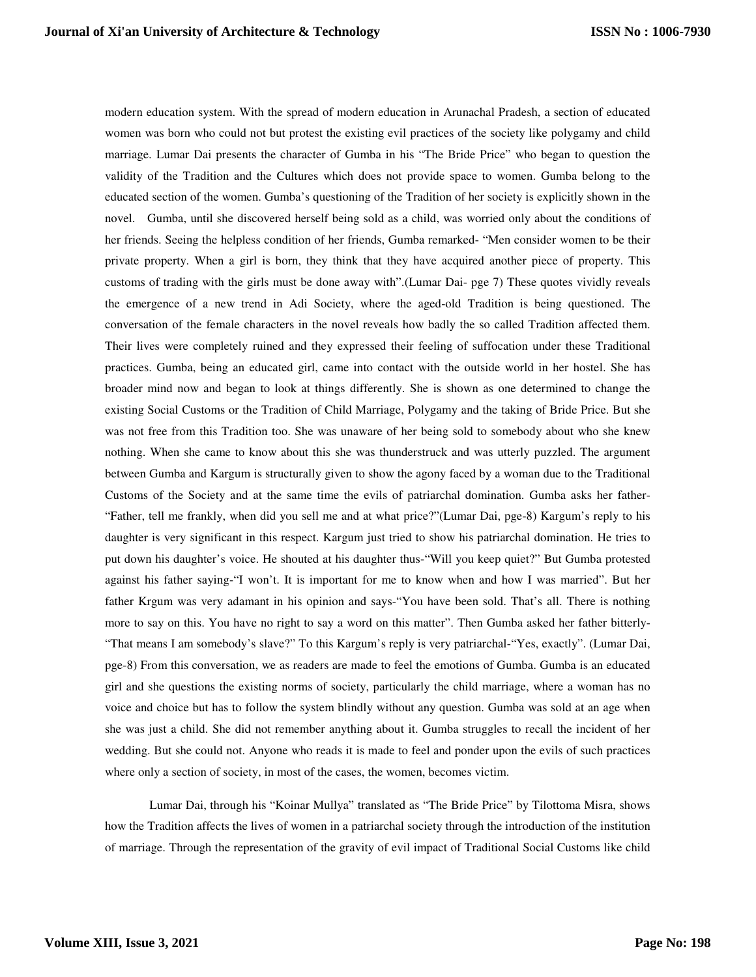modern education system. With the spread of modern education in Arunachal Pradesh, a section of educated women was born who could not but protest the existing evil practices of the society like polygamy and child marriage. Lumar Dai presents the character of Gumba in his "The Bride Price" who began to question the validity of the Tradition and the Cultures which does not provide space to women. Gumba belong to the educated section of the women. Gumba's questioning of the Tradition of her society is explicitly shown in the novel. Gumba, until she discovered herself being sold as a child, was worried only about the conditions of her friends. Seeing the helpless condition of her friends, Gumba remarked- "Men consider women to be their private property. When a girl is born, they think that they have acquired another piece of property. This customs of trading with the girls must be done away with".(Lumar Dai- pge 7) These quotes vividly reveals the emergence of a new trend in Adi Society, where the aged-old Tradition is being questioned. The conversation of the female characters in the novel reveals how badly the so called Tradition affected them. Their lives were completely ruined and they expressed their feeling of suffocation under these Traditional practices. Gumba, being an educated girl, came into contact with the outside world in her hostel. She has broader mind now and began to look at things differently. She is shown as one determined to change the existing Social Customs or the Tradition of Child Marriage, Polygamy and the taking of Bride Price. But she was not free from this Tradition too. She was unaware of her being sold to somebody about who she knew nothing. When she came to know about this she was thunderstruck and was utterly puzzled. The argument between Gumba and Kargum is structurally given to show the agony faced by a woman due to the Traditional Customs of the Society and at the same time the evils of patriarchal domination. Gumba asks her father- "Father, tell me frankly, when did you sell me and at what price?"(Lumar Dai, pge-8) Kargum's reply to his daughter is very significant in this respect. Kargum just tried to show his patriarchal domination. He tries to put down his daughter's voice. He shouted at his daughter thus-"Will you keep quiet?" But Gumba protested against his father saying-"I won't. It is important for me to know when and how I was married". But her father Krgum was very adamant in his opinion and says-"You have been sold. That's all. There is nothing more to say on this. You have no right to say a word on this matter". Then Gumba asked her father bitterly- "That means I am somebody's slave?" To this Kargum's reply is very patriarchal-"Yes, exactly". (Lumar Dai, pge-8) From this conversation, we as readers are made to feel the emotions of Gumba. Gumba is an educated girl and she questions the existing norms of society, particularly the child marriage, where a woman has no voice and choice but has to follow the system blindly without any question. Gumba was sold at an age when she was just a child. She did not remember anything about it. Gumba struggles to recall the incident of her wedding. But she could not. Anyone who reads it is made to feel and ponder upon the evils of such practices where only a section of society, in most of the cases, the women, becomes victim.

Lumar Dai, through his "Koinar Mullya" translated as "The Bride Price" by Tilottoma Misra, shows how the Tradition affects the lives of women in a patriarchal society through the introduction of the institution of marriage. Through the representation of the gravity of evil impact of Traditional Social Customs like child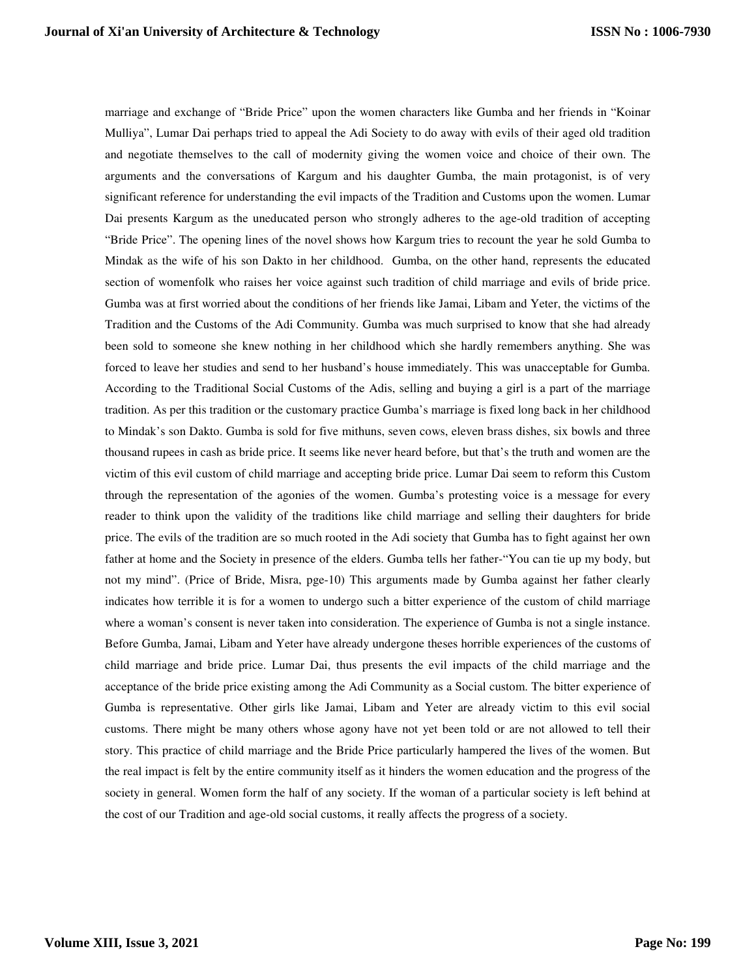marriage and exchange of "Bride Price" upon the women characters like Gumba and her friends in "Koinar Mulliya", Lumar Dai perhaps tried to appeal the Adi Society to do away with evils of their aged old tradition and negotiate themselves to the call of modernity giving the women voice and choice of their own. The arguments and the conversations of Kargum and his daughter Gumba, the main protagonist, is of very significant reference for understanding the evil impacts of the Tradition and Customs upon the women. Lumar Dai presents Kargum as the uneducated person who strongly adheres to the age-old tradition of accepting "Bride Price". The opening lines of the novel shows how Kargum tries to recount the year he sold Gumba to Mindak as the wife of his son Dakto in her childhood. Gumba, on the other hand, represents the educated section of womenfolk who raises her voice against such tradition of child marriage and evils of bride price. Gumba was at first worried about the conditions of her friends like Jamai, Libam and Yeter, the victims of the Tradition and the Customs of the Adi Community. Gumba was much surprised to know that she had already been sold to someone she knew nothing in her childhood which she hardly remembers anything. She was forced to leave her studies and send to her husband's house immediately. This was unacceptable for Gumba. According to the Traditional Social Customs of the Adis, selling and buying a girl is a part of the marriage tradition. As per this tradition or the customary practice Gumba's marriage is fixed long back in her childhood to Mindak's son Dakto. Gumba is sold for five mithuns, seven cows, eleven brass dishes, six bowls and three thousand rupees in cash as bride price. It seems like never heard before, but that's the truth and women are the victim of this evil custom of child marriage and accepting bride price. Lumar Dai seem to reform this Custom through the representation of the agonies of the women. Gumba's protesting voice is a message for every reader to think upon the validity of the traditions like child marriage and selling their daughters for bride price. The evils of the tradition are so much rooted in the Adi society that Gumba has to fight against her own father at home and the Society in presence of the elders. Gumba tells her father-"You can tie up my body, but not my mind". (Price of Bride, Misra, pge-10) This arguments made by Gumba against her father clearly indicates how terrible it is for a women to undergo such a bitter experience of the custom of child marriage where a woman's consent is never taken into consideration. The experience of Gumba is not a single instance. Before Gumba, Jamai, Libam and Yeter have already undergone theses horrible experiences of the customs of child marriage and bride price. Lumar Dai, thus presents the evil impacts of the child marriage and the acceptance of the bride price existing among the Adi Community as a Social custom. The bitter experience of Gumba is representative. Other girls like Jamai, Libam and Yeter are already victim to this evil social customs. There might be many others whose agony have not yet been told or are not allowed to tell their story. This practice of child marriage and the Bride Price particularly hampered the lives of the women. But the real impact is felt by the entire community itself as it hinders the women education and the progress of the society in general. Women form the half of any society. If the woman of a particular society is left behind at the cost of our Tradition and age-old social customs, it really affects the progress of a society.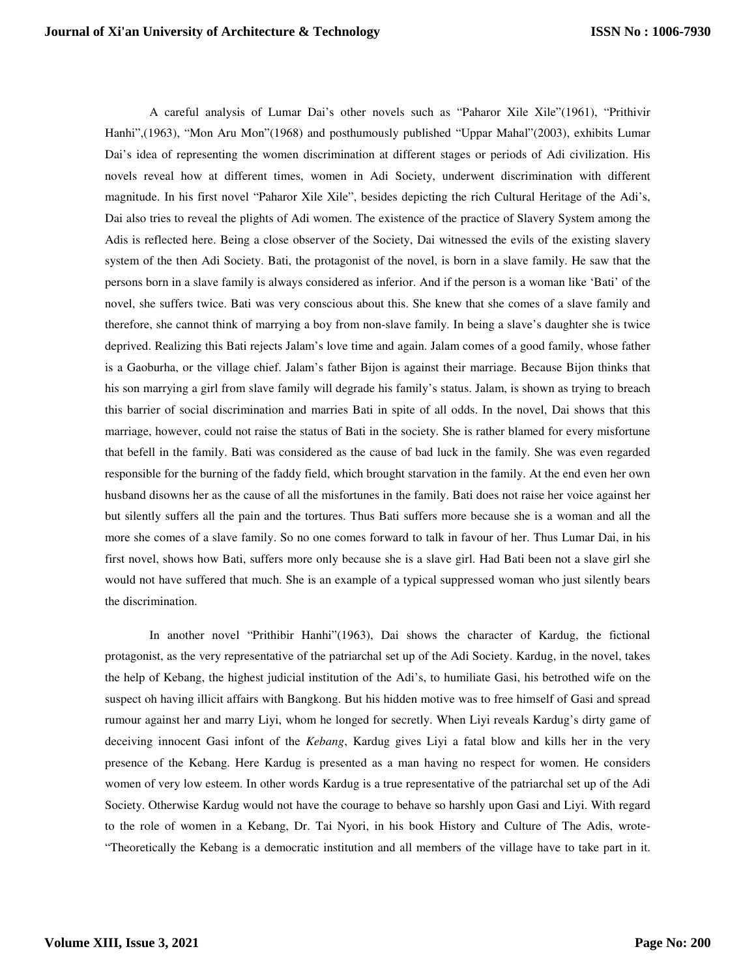A careful analysis of Lumar Dai's other novels such as "Paharor Xile Xile"(1961), "Prithivir Hanhi",(1963), "Mon Aru Mon"(1968) and posthumously published "Uppar Mahal"(2003), exhibits Lumar Dai's idea of representing the women discrimination at different stages or periods of Adi civilization. His novels reveal how at different times, women in Adi Society, underwent discrimination with different magnitude. In his first novel "Paharor Xile Xile", besides depicting the rich Cultural Heritage of the Adi's, Dai also tries to reveal the plights of Adi women. The existence of the practice of Slavery System among the Adis is reflected here. Being a close observer of the Society, Dai witnessed the evils of the existing slavery system of the then Adi Society. Bati, the protagonist of the novel, is born in a slave family. He saw that the persons born in a slave family is always considered as inferior. And if the person is a woman like 'Bati' of the novel, she suffers twice. Bati was very conscious about this. She knew that she comes of a slave family and therefore, she cannot think of marrying a boy from non-slave family. In being a slave's daughter she is twice deprived. Realizing this Bati rejects Jalam's love time and again. Jalam comes of a good family, whose father is a Gaoburha, or the village chief. Jalam's father Bijon is against their marriage. Because Bijon thinks that his son marrying a girl from slave family will degrade his family's status. Jalam, is shown as trying to breach this barrier of social discrimination and marries Bati in spite of all odds. In the novel, Dai shows that this marriage, however, could not raise the status of Bati in the society. She is rather blamed for every misfortune that befell in the family. Bati was considered as the cause of bad luck in the family. She was even regarded responsible for the burning of the faddy field, which brought starvation in the family. At the end even her own husband disowns her as the cause of all the misfortunes in the family. Bati does not raise her voice against her but silently suffers all the pain and the tortures. Thus Bati suffers more because she is a woman and all the more she comes of a slave family. So no one comes forward to talk in favour of her. Thus Lumar Dai, in his first novel, shows how Bati, suffers more only because she is a slave girl. Had Bati been not a slave girl she would not have suffered that much. She is an example of a typical suppressed woman who just silently bears the discrimination.

In another novel "Prithibir Hanhi"(1963), Dai shows the character of Kardug, the fictional protagonist, as the very representative of the patriarchal set up of the Adi Society. Kardug, in the novel, takes the help of Kebang, the highest judicial institution of the Adi's, to humiliate Gasi, his betrothed wife on the suspect oh having illicit affairs with Bangkong. But his hidden motive was to free himself of Gasi and spread rumour against her and marry Liyi, whom he longed for secretly. When Liyi reveals Kardug's dirty game of deceiving innocent Gasi infont of the *Kebang*, Kardug gives Liyi a fatal blow and kills her in the very presence of the Kebang. Here Kardug is presented as a man having no respect for women. He considers women of very low esteem. In other words Kardug is a true representative of the patriarchal set up of the Adi Society. Otherwise Kardug would not have the courage to behave so harshly upon Gasi and Liyi. With regard to the role of women in a Kebang, Dr. Tai Nyori, in his book History and Culture of The Adis, wrote- "Theoretically the Kebang is a democratic institution and all members of the village have to take part in it.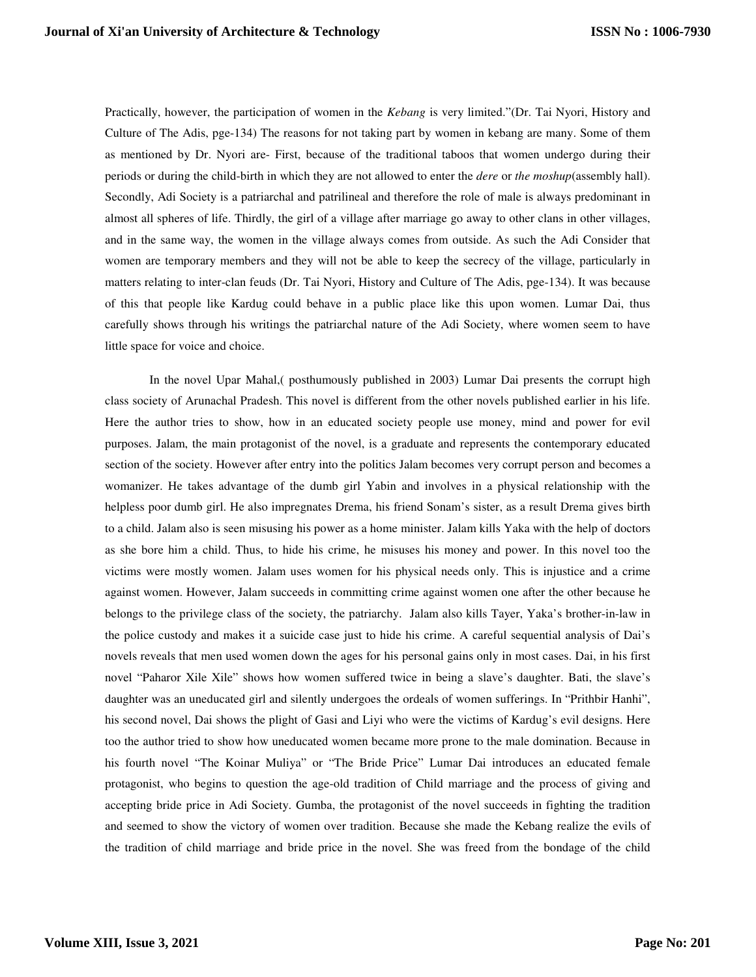Practically, however, the participation of women in the *Kebang* is very limited."(Dr. Tai Nyori, History and Culture of The Adis, pge-134) The reasons for not taking part by women in kebang are many. Some of them as mentioned by Dr. Nyori are- First, because of the traditional taboos that women undergo during their periods or during the child-birth in which they are not allowed to enter the *dere* or *the moshup*(assembly hall). Secondly, Adi Society is a patriarchal and patrilineal and therefore the role of male is always predominant in almost all spheres of life. Thirdly, the girl of a village after marriage go away to other clans in other villages, and in the same way, the women in the village always comes from outside. As such the Adi Consider that women are temporary members and they will not be able to keep the secrecy of the village, particularly in matters relating to inter-clan feuds (Dr. Tai Nyori, History and Culture of The Adis, pge-134). It was because of this that people like Kardug could behave in a public place like this upon women. Lumar Dai, thus carefully shows through his writings the patriarchal nature of the Adi Society, where women seem to have little space for voice and choice.

In the novel Upar Mahal,( posthumously published in 2003) Lumar Dai presents the corrupt high class society of Arunachal Pradesh. This novel is different from the other novels published earlier in his life. Here the author tries to show, how in an educated society people use money, mind and power for evil purposes. Jalam, the main protagonist of the novel, is a graduate and represents the contemporary educated section of the society. However after entry into the politics Jalam becomes very corrupt person and becomes a womanizer. He takes advantage of the dumb girl Yabin and involves in a physical relationship with the helpless poor dumb girl. He also impregnates Drema, his friend Sonam's sister, as a result Drema gives birth to a child. Jalam also is seen misusing his power as a home minister. Jalam kills Yaka with the help of doctors as she bore him a child. Thus, to hide his crime, he misuses his money and power. In this novel too the victims were mostly women. Jalam uses women for his physical needs only. This is injustice and a crime against women. However, Jalam succeeds in committing crime against women one after the other because he belongs to the privilege class of the society, the patriarchy. Jalam also kills Tayer, Yaka's brother-in-law in the police custody and makes it a suicide case just to hide his crime. A careful sequential analysis of Dai's novels reveals that men used women down the ages for his personal gains only in most cases. Dai, in his first novel "Paharor Xile Xile" shows how women suffered twice in being a slave's daughter. Bati, the slave's daughter was an uneducated girl and silently undergoes the ordeals of women sufferings. In "Prithbir Hanhi", his second novel, Dai shows the plight of Gasi and Liyi who were the victims of Kardug's evil designs. Here too the author tried to show how uneducated women became more prone to the male domination. Because in his fourth novel "The Koinar Muliya" or "The Bride Price" Lumar Dai introduces an educated female protagonist, who begins to question the age-old tradition of Child marriage and the process of giving and accepting bride price in Adi Society. Gumba, the protagonist of the novel succeeds in fighting the tradition and seemed to show the victory of women over tradition. Because she made the Kebang realize the evils of the tradition of child marriage and bride price in the novel. She was freed from the bondage of the child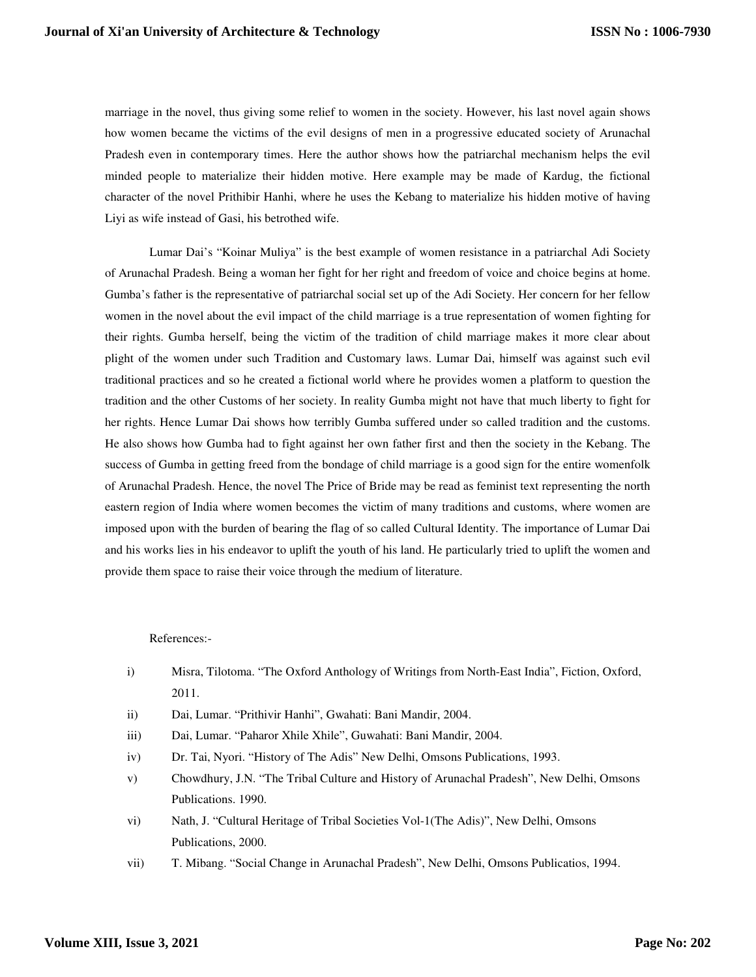marriage in the novel, thus giving some relief to women in the society. However, his last novel again shows how women became the victims of the evil designs of men in a progressive educated society of Arunachal Pradesh even in contemporary times. Here the author shows how the patriarchal mechanism helps the evil minded people to materialize their hidden motive. Here example may be made of Kardug, the fictional character of the novel Prithibir Hanhi, where he uses the Kebang to materialize his hidden motive of having Liyi as wife instead of Gasi, his betrothed wife.

Lumar Dai's "Koinar Muliya" is the best example of women resistance in a patriarchal Adi Society of Arunachal Pradesh. Being a woman her fight for her right and freedom of voice and choice begins at home. Gumba's father is the representative of patriarchal social set up of the Adi Society. Her concern for her fellow women in the novel about the evil impact of the child marriage is a true representation of women fighting for their rights. Gumba herself, being the victim of the tradition of child marriage makes it more clear about plight of the women under such Tradition and Customary laws. Lumar Dai, himself was against such evil traditional practices and so he created a fictional world where he provides women a platform to question the tradition and the other Customs of her society. In reality Gumba might not have that much liberty to fight for her rights. Hence Lumar Dai shows how terribly Gumba suffered under so called tradition and the customs. He also shows how Gumba had to fight against her own father first and then the society in the Kebang. The success of Gumba in getting freed from the bondage of child marriage is a good sign for the entire womenfolk of Arunachal Pradesh. Hence, the novel The Price of Bride may be read as feminist text representing the north eastern region of India where women becomes the victim of many traditions and customs, where women are imposed upon with the burden of bearing the flag of so called Cultural Identity. The importance of Lumar Dai and his works lies in his endeavor to uplift the youth of his land. He particularly tried to uplift the women and provide them space to raise their voice through the medium of literature.

## References:-

- i) Misra, Tilotoma. "The Oxford Anthology of Writings from North-East India", Fiction, Oxford, 2011.
- ii) Dai, Lumar. "Prithivir Hanhi", Gwahati: Bani Mandir, 2004.
- iii) Dai, Lumar. "Paharor Xhile Xhile", Guwahati: Bani Mandir, 2004.
- iv) Dr. Tai, Nyori. "History of The Adis" New Delhi, Omsons Publications, 1993.
- v) Chowdhury, J.N. "The Tribal Culture and History of Arunachal Pradesh", New Delhi, Omsons Publications. 1990.
- vi) Nath, J. "Cultural Heritage of Tribal Societies Vol-1(The Adis)", New Delhi, Omsons Publications, 2000.
- vii) T. Mibang. "Social Change in Arunachal Pradesh", New Delhi, Omsons Publicatios, 1994.